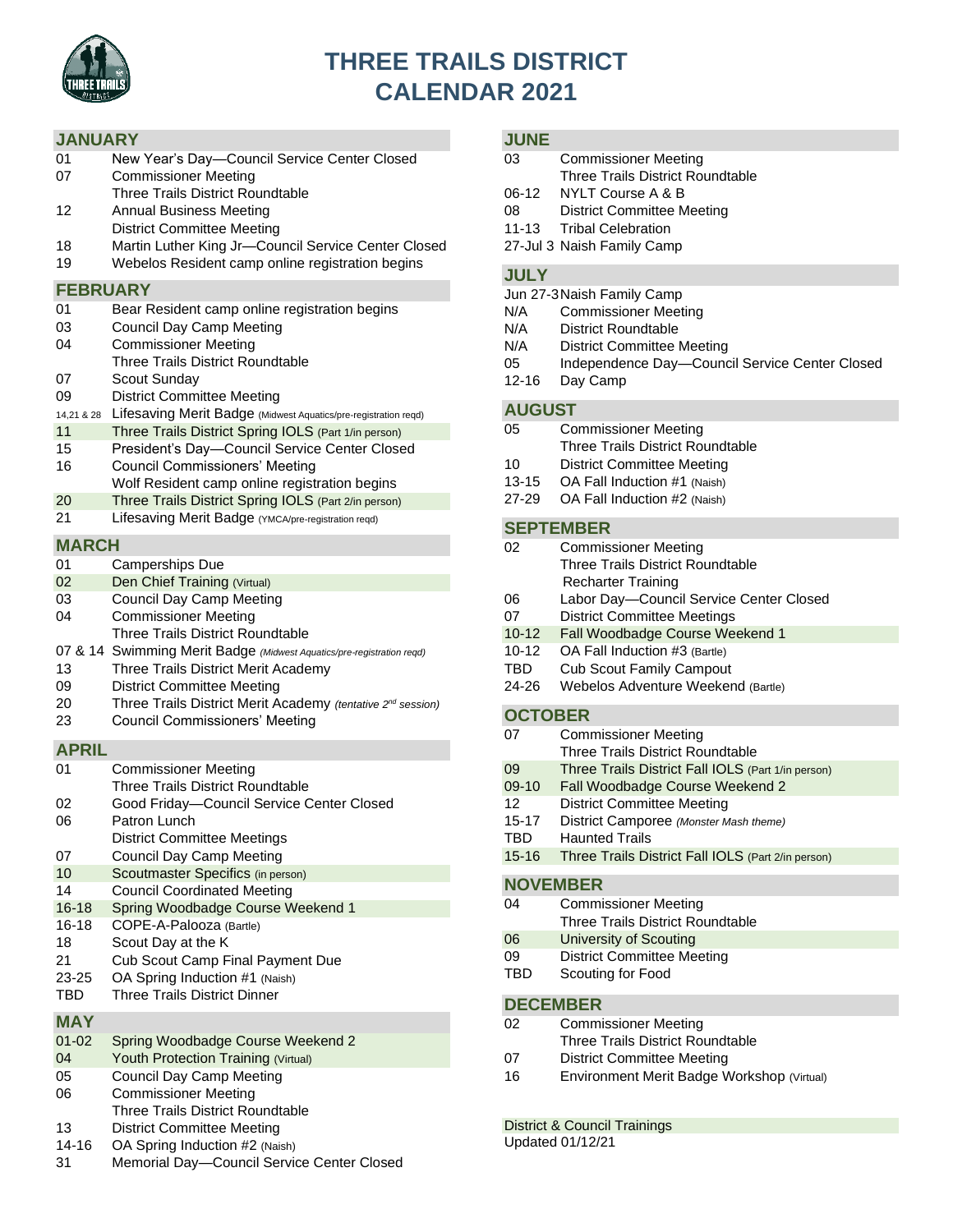

# **THREE TRAILS DISTRICT CALENDAR 2021**

# **JANUARY**

| 01 | New Year's Day-Council Service Center Closed |
|----|----------------------------------------------|
| 07 | <b>Commissioner Meeting</b>                  |

- Three Trails District Roundtable
- 12 Annual Business Meeting
- District Committee Meeting
- 18 Martin Luther King Jr—Council Service Center Closed
- 19 Webelos Resident camp online registration begins

# **FEBRUARY**

| 01 | Bear Resident camp online registration begins |  |  |  |
|----|-----------------------------------------------|--|--|--|
|----|-----------------------------------------------|--|--|--|

- 03 Council Day Camp Meeting
- 04 Commissioner Meeting
- Three Trails District Roundtable
- 07 Scout Sunday
- 09 District Committee Meeting
- 14,21 & 28 Lifesaving Merit Badge (Midwest Aquatics/pre-registration reqd)
- 11 Three Trails District Spring IOLS (Part 1/in person)
- 15 President's Day—Council Service Center Closed
- 16 Council Commissioners' Meeting Wolf Resident camp online registration begins
- 20 Three Trails District Spring IOLS (Part 2/in person)
- 21 Lifesaving Merit Badge (YMCA/pre-registration reqd)

# **MARCH**

- 01 Camperships Due
- 02 Den Chief Training (Virtual)
- 03 Council Day Camp Meeting
- 04 Commissioner Meeting
- Three Trails District Roundtable
- 07 & 14 Swimming Merit Badge *(Midwest Aquatics/pre-registration reqd)*
- 13 Three Trails District Merit Academy
- 09 District Committee Meeting
- 20 Three Trails District Merit Academy *(tentative 2nd session)*
- 23 Council Commissioners' Meeting

# **APRIL**

| 01        | <b>Commissioner Meeting</b>               |
|-----------|-------------------------------------------|
|           | Three Trails District Roundtable          |
| 02        | Good Friday-Council Service Center Closed |
| 06        | Patron Lunch                              |
|           | <b>District Committee Meetings</b>        |
| 07        | Council Day Camp Meeting                  |
| 10        | Scoutmaster Specifics (in person)         |
| 14        | <b>Council Coordinated Meeting</b>        |
| $16 - 18$ | Spring Woodbadge Course Weekend 1         |
| $16 - 18$ | COPE-A-Palooza (Bartle)                   |
| 18        | Scout Day at the K                        |
| 21        | <b>Cub Scout Camp Final Payment Due</b>   |
| 23-25     | OA Spring Induction #1 (Naish)            |
| TBD       | Three Trails District Dinner              |

# **MAY**

- 01-02 Spring Woodbadge Course Weekend 2 04 Youth Protection Training (Virtual) 05 Council Day Camp Meeting 06 Commissioner Meeting Three Trails District Roundtable
- 13 District Committee Meeting
- 14-16 OA Spring Induction #2 (Naish)
- 31 Memorial Day—Council Service Center Closed

# **JUNE**

| 03          | <b>Commissioner Meeting</b>             |
|-------------|-----------------------------------------|
|             | <b>Three Trails District Roundtable</b> |
| 06-12       | NYLT Course A & B                       |
| 08          | District Committee Meeting              |
|             | 11-13 Tribal Celebration                |
|             | 27-Jul 3 Naish Family Camp              |
|             |                                         |
| <b>JULY</b> |                                         |

- Jun 27-3Naish Family Camp
- N/A Commissioner Meeting
- N/A District Roundtable
- N/A District Committee Meeting
- 05 Independence Day—Council Service Center Closed
- 12-16 Day Camp

# **AUGUST**

| 05        | <b>Commissioner Meeting</b>      |  |
|-----------|----------------------------------|--|
|           | Three Trails District Roundtable |  |
| 10        | District Committee Meeting       |  |
| $13 - 15$ | OA Fall Induction #1 (Naish)     |  |
| 27-29     | OA Fall Induction #2 (Naish)     |  |

# **SEPTEMBER**

| 02        | <b>Commissioner Meeting</b>             |  |
|-----------|-----------------------------------------|--|
|           | <b>Three Trails District Roundtable</b> |  |
|           | <b>Recharter Training</b>               |  |
| 06        | Labor Day-Council Service Center Closed |  |
| 07        | <b>District Committee Meetings</b>      |  |
| $10 - 12$ | Fall Woodbadge Course Weekend 1         |  |
| $10 - 12$ | OA Fall Induction #3 (Bartle)           |  |
| TBD       | <b>Cub Scout Family Campout</b>         |  |
| 24-26     | Webelos Adventure Weekend (Bartle)      |  |
|           |                                         |  |

# **OCTOBER**

| 07              | <b>Commissioner Meeting</b>                        |  |
|-----------------|----------------------------------------------------|--|
|                 | Three Trails District Roundtable                   |  |
| 09              | Three Trails District Fall IOLS (Part 1/in person) |  |
| 09-10           | Fall Woodbadge Course Weekend 2                    |  |
| 12              | <b>District Committee Meeting</b>                  |  |
| $15 - 17$       | District Camporee (Monster Mash theme)             |  |
| TBD             | <b>Haunted Trails</b>                              |  |
| $15 - 16$       | Three Trails District Fall IOLS (Part 2/in person) |  |
|                 |                                                    |  |
| <b>NOVEMBER</b> |                                                    |  |
| 04              | <b>Commissioner Meeting</b>                        |  |
|                 | <b>Three Trails District Roundtable</b>            |  |

- 06 University of Scouting
- 09 District Committee Meeting
- TBD Scouting for Food

# **DECEMBER**

- 02 Commissioner Meeting
- Three Trails District Roundtable
- 07 District Committee Meeting
- 16 Environment Merit Badge Workshop (Virtual)

# District & Council Trainings

Updated 01/12/21